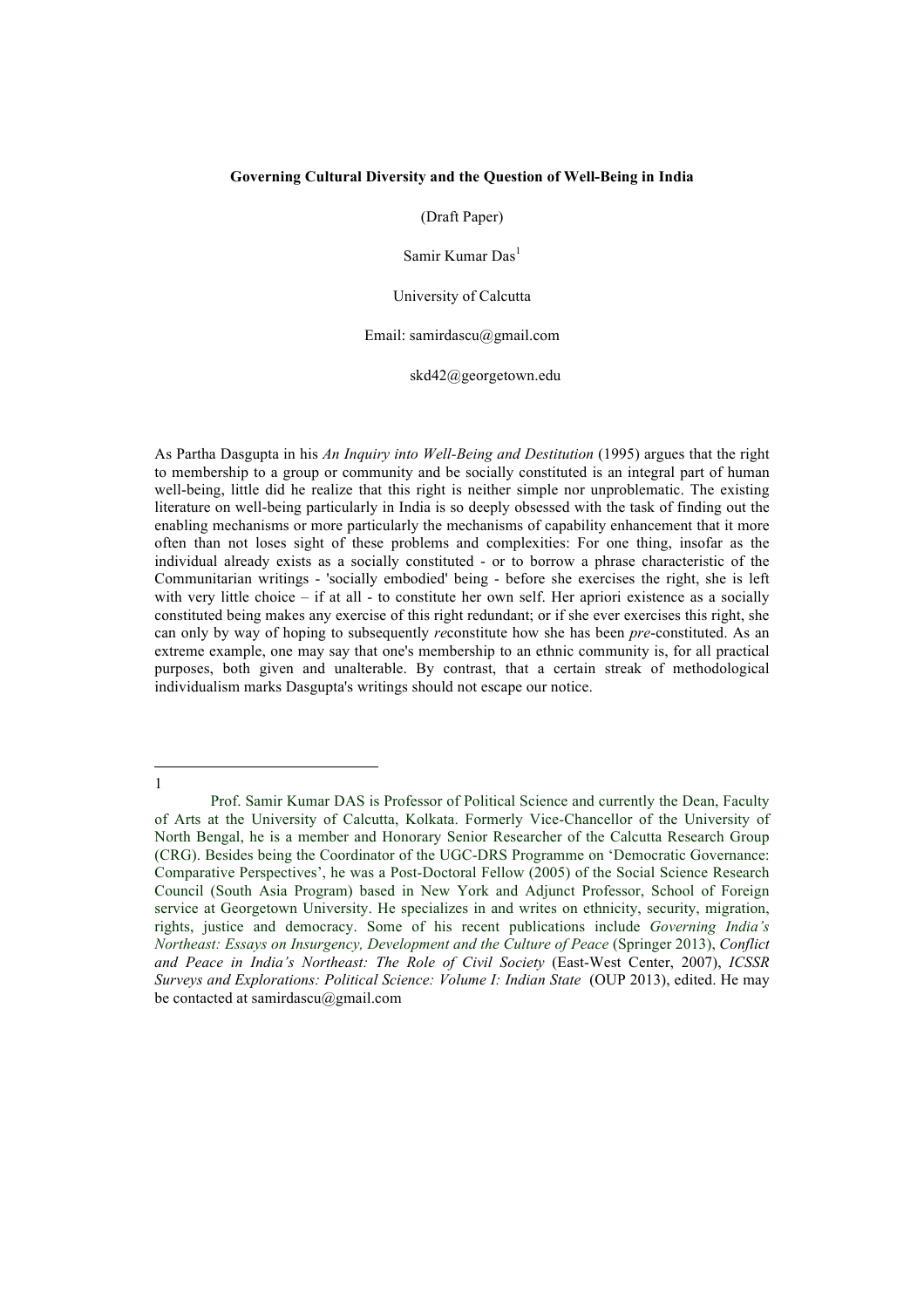# **Governing Cultural Diversity and the Question of Well-Being in India**

(Draft Paper)

Samir Kumar Das<sup>1</sup>

University of Calcutta

Email: samirdascu@gmail.com

skd42@georgetown.edu

As Partha Dasgupta in his *An Inquiry into Well-Being and Destitution* (1995) argues that the right to membership to a group or community and be socially constituted is an integral part of human well-being, little did he realize that this right is neither simple nor unproblematic. The existing literature on well-being particularly in India is so deeply obsessed with the task of finding out the enabling mechanisms or more particularly the mechanisms of capability enhancement that it more often than not loses sight of these problems and complexities: For one thing, insofar as the individual already exists as a socially constituted - or to borrow a phrase characteristic of the Communitarian writings - 'socially embodied' being - before she exercises the right, she is left with very little choice – if at all - to constitute her own self. Her apriori existence as a socially constituted being makes any exercise of this right redundant; or if she ever exercises this right, she can only by way of hoping to subsequently *re*constitute how she has been *pre*-constituted. As an extreme example, one may say that one's membership to an ethnic community is, for all practical purposes, both given and unalterable. By contrast, that a certain streak of methodological individualism marks Dasgupta's writings should not escape our notice.

l 1

Prof. Samir Kumar DAS is Professor of Political Science and currently the Dean, Faculty of Arts at the University of Calcutta, Kolkata. Formerly Vice-Chancellor of the University of North Bengal, he is a member and Honorary Senior Researcher of the Calcutta Research Group (CRG). Besides being the Coordinator of the UGC-DRS Programme on 'Democratic Governance: Comparative Perspectives', he was a Post-Doctoral Fellow (2005) of the Social Science Research Council (South Asia Program) based in New York and Adjunct Professor, School of Foreign service at Georgetown University. He specializes in and writes on ethnicity, security, migration, rights, justice and democracy. Some of his recent publications include *Governing India's Northeast: Essays on Insurgency, Development and the Culture of Peace* (Springer 2013), *Conflict and Peace in India's Northeast: The Role of Civil Society* (East-West Center, 2007), *ICSSR Surveys and Explorations: Political Science: Volume I: Indian State* (OUP 2013), edited. He may be contacted at samirdascu@gmail.com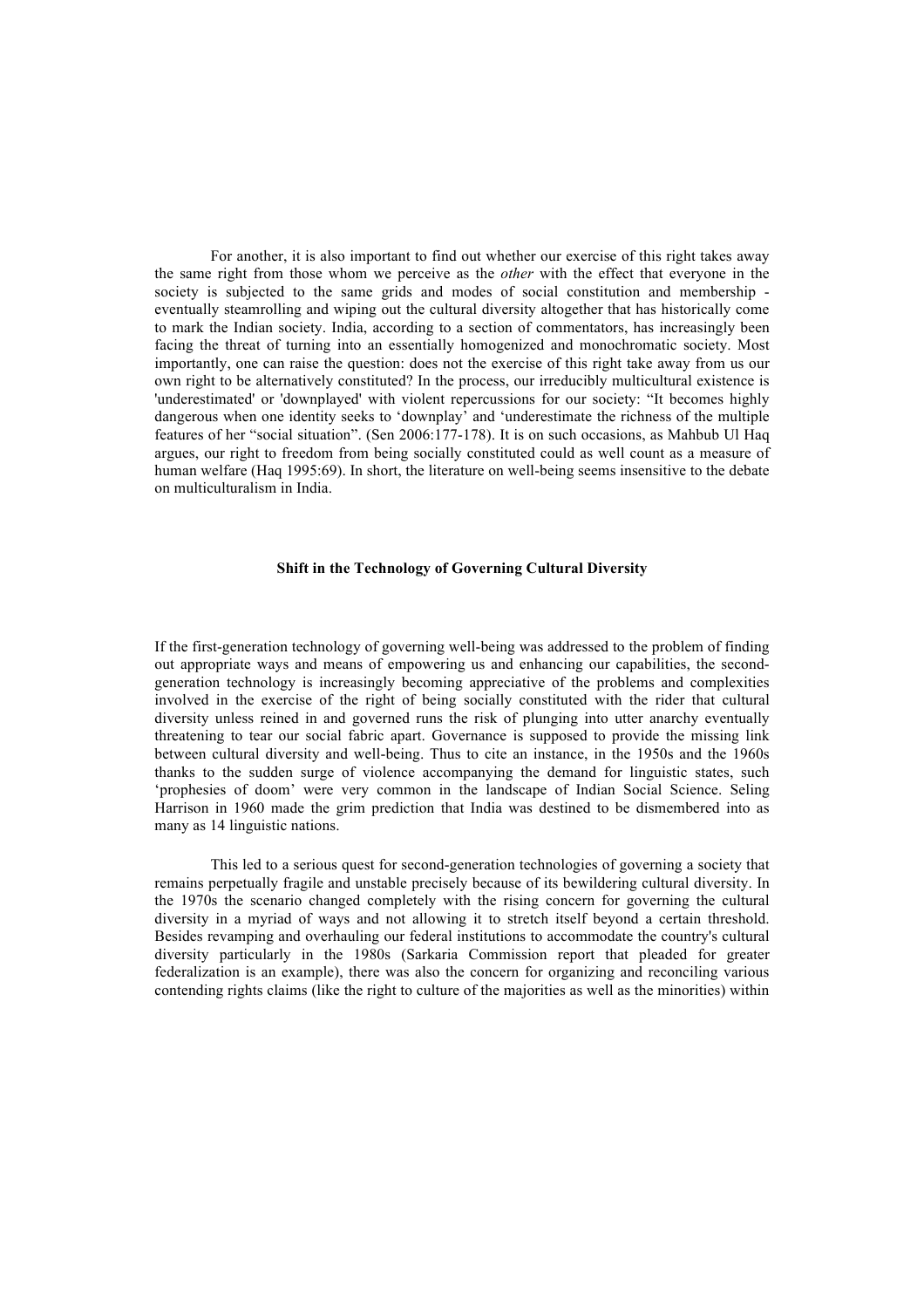For another, it is also important to find out whether our exercise of this right takes away the same right from those whom we perceive as the *other* with the effect that everyone in the society is subjected to the same grids and modes of social constitution and membership eventually steamrolling and wiping out the cultural diversity altogether that has historically come to mark the Indian society. India, according to a section of commentators, has increasingly been facing the threat of turning into an essentially homogenized and monochromatic society. Most importantly, one can raise the question: does not the exercise of this right take away from us our own right to be alternatively constituted? In the process, our irreducibly multicultural existence is 'underestimated' or 'downplayed' with violent repercussions for our society: "It becomes highly dangerous when one identity seeks to 'downplay' and 'underestimate the richness of the multiple features of her "social situation". (Sen 2006:177-178). It is on such occasions, as Mahbub Ul Haq argues, our right to freedom from being socially constituted could as well count as a measure of human welfare (Haq 1995:69). In short, the literature on well-being seems insensitive to the debate on multiculturalism in India.

# **Shift in the Technology of Governing Cultural Diversity**

If the first-generation technology of governing well-being was addressed to the problem of finding out appropriate ways and means of empowering us and enhancing our capabilities, the secondgeneration technology is increasingly becoming appreciative of the problems and complexities involved in the exercise of the right of being socially constituted with the rider that cultural diversity unless reined in and governed runs the risk of plunging into utter anarchy eventually threatening to tear our social fabric apart. Governance is supposed to provide the missing link between cultural diversity and well-being. Thus to cite an instance, in the 1950s and the 1960s thanks to the sudden surge of violence accompanying the demand for linguistic states, such 'prophesies of doom' were very common in the landscape of Indian Social Science. Seling Harrison in 1960 made the grim prediction that India was destined to be dismembered into as many as 14 linguistic nations.

This led to a serious quest for second-generation technologies of governing a society that remains perpetually fragile and unstable precisely because of its bewildering cultural diversity. In the 1970s the scenario changed completely with the rising concern for governing the cultural diversity in a myriad of ways and not allowing it to stretch itself beyond a certain threshold. Besides revamping and overhauling our federal institutions to accommodate the country's cultural diversity particularly in the 1980s (Sarkaria Commission report that pleaded for greater federalization is an example), there was also the concern for organizing and reconciling various contending rights claims (like the right to culture of the majorities as well as the minorities) within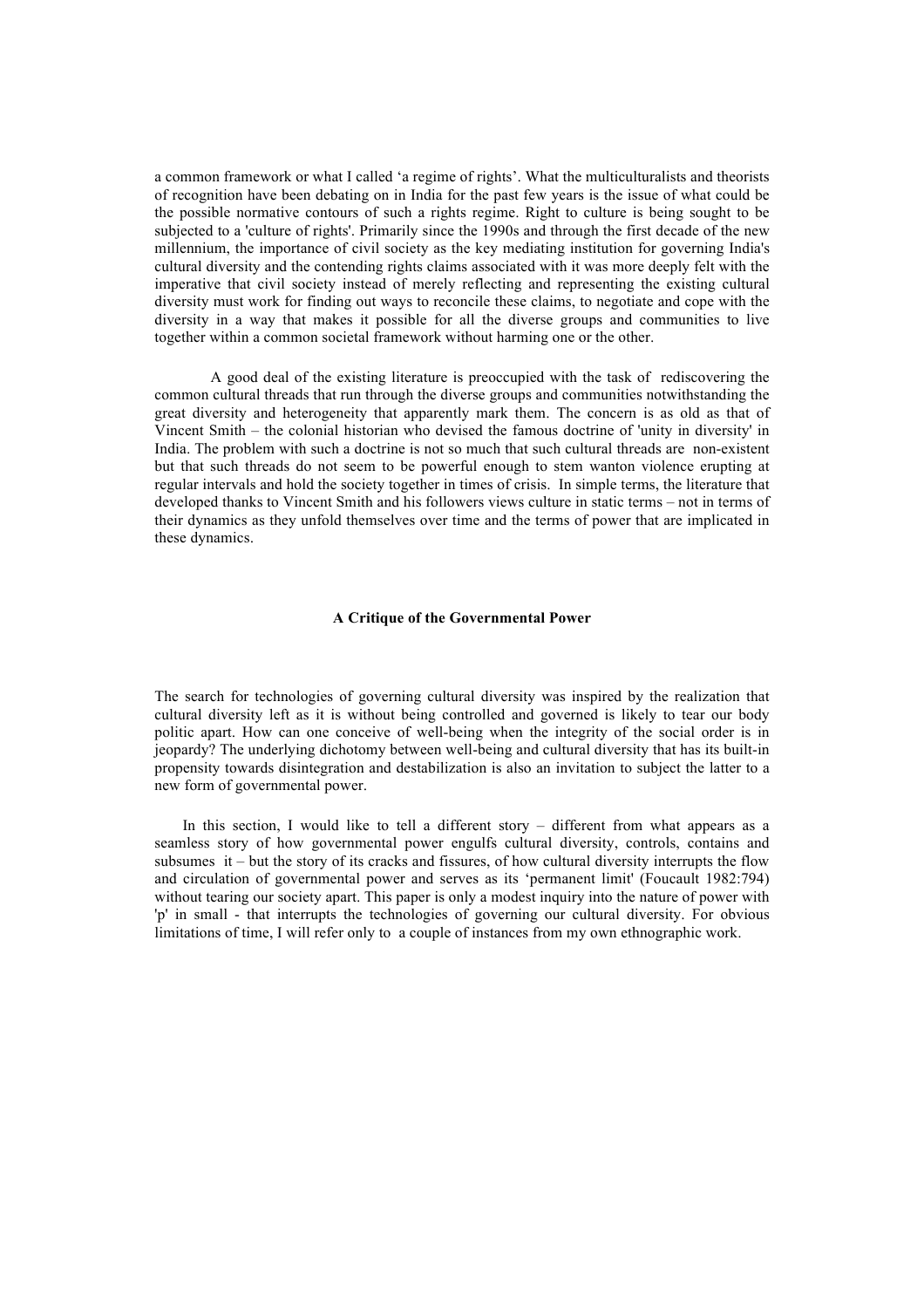a common framework or what I called 'a regime of rights'. What the multiculturalists and theorists of recognition have been debating on in India for the past few years is the issue of what could be the possible normative contours of such a rights regime. Right to culture is being sought to be subjected to a 'culture of rights'. Primarily since the 1990s and through the first decade of the new millennium, the importance of civil society as the key mediating institution for governing India's cultural diversity and the contending rights claims associated with it was more deeply felt with the imperative that civil society instead of merely reflecting and representing the existing cultural diversity must work for finding out ways to reconcile these claims, to negotiate and cope with the diversity in a way that makes it possible for all the diverse groups and communities to live together within a common societal framework without harming one or the other.

A good deal of the existing literature is preoccupied with the task of rediscovering the common cultural threads that run through the diverse groups and communities notwithstanding the great diversity and heterogeneity that apparently mark them. The concern is as old as that of Vincent Smith – the colonial historian who devised the famous doctrine of 'unity in diversity' in India. The problem with such a doctrine is not so much that such cultural threads are non-existent but that such threads do not seem to be powerful enough to stem wanton violence erupting at regular intervals and hold the society together in times of crisis. In simple terms, the literature that developed thanks to Vincent Smith and his followers views culture in static terms – not in terms of their dynamics as they unfold themselves over time and the terms of power that are implicated in these dynamics.

### **A Critique of the Governmental Power**

The search for technologies of governing cultural diversity was inspired by the realization that cultural diversity left as it is without being controlled and governed is likely to tear our body politic apart. How can one conceive of well-being when the integrity of the social order is in jeopardy? The underlying dichotomy between well-being and cultural diversity that has its built-in propensity towards disintegration and destabilization is also an invitation to subject the latter to a new form of governmental power.

In this section, I would like to tell a different story – different from what appears as a seamless story of how governmental power engulfs cultural diversity, controls, contains and subsumes it – but the story of its cracks and fissures, of how cultural diversity interrupts the flow and circulation of governmental power and serves as its 'permanent limit' (Foucault 1982:794) without tearing our society apart. This paper is only a modest inquiry into the nature of power with 'p' in small - that interrupts the technologies of governing our cultural diversity. For obvious limitations of time, I will refer only to a couple of instances from my own ethnographic work.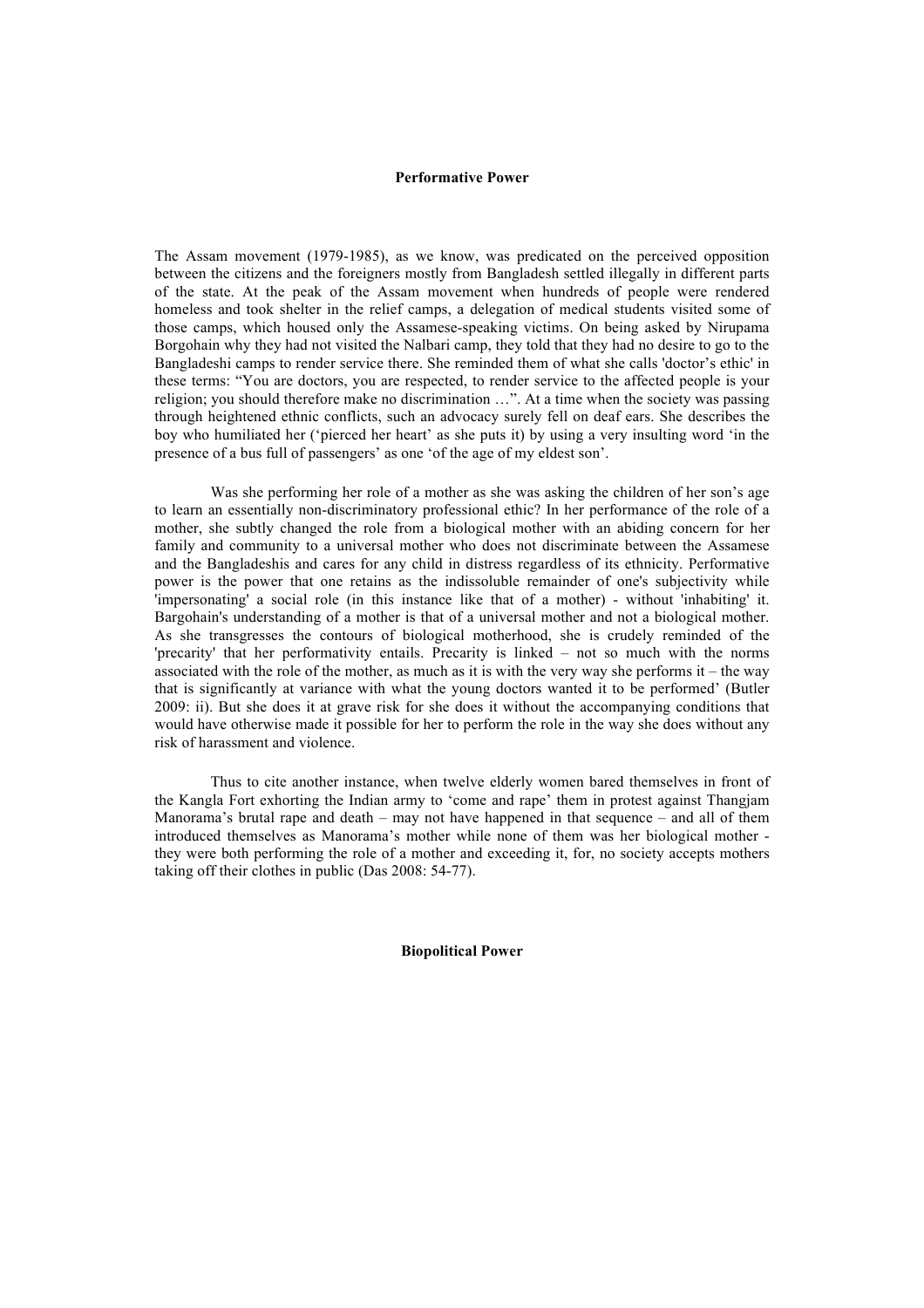#### **Performative Power**

The Assam movement (1979-1985), as we know, was predicated on the perceived opposition between the citizens and the foreigners mostly from Bangladesh settled illegally in different parts of the state. At the peak of the Assam movement when hundreds of people were rendered homeless and took shelter in the relief camps, a delegation of medical students visited some of those camps, which housed only the Assamese-speaking victims. On being asked by Nirupama Borgohain why they had not visited the Nalbari camp, they told that they had no desire to go to the Bangladeshi camps to render service there. She reminded them of what she calls 'doctor's ethic' in these terms: "You are doctors, you are respected, to render service to the affected people is your religion; you should therefore make no discrimination …". At a time when the society was passing through heightened ethnic conflicts, such an advocacy surely fell on deaf ears. She describes the boy who humiliated her ('pierced her heart' as she puts it) by using a very insulting word 'in the presence of a bus full of passengers' as one 'of the age of my eldest son'.

Was she performing her role of a mother as she was asking the children of her son's age to learn an essentially non-discriminatory professional ethic? In her performance of the role of a mother, she subtly changed the role from a biological mother with an abiding concern for her family and community to a universal mother who does not discriminate between the Assamese and the Bangladeshis and cares for any child in distress regardless of its ethnicity. Performative power is the power that one retains as the indissoluble remainder of one's subjectivity while 'impersonating' a social role (in this instance like that of a mother) - without 'inhabiting' it. Bargohain's understanding of a mother is that of a universal mother and not a biological mother. As she transgresses the contours of biological motherhood, she is crudely reminded of the 'precarity' that her performativity entails. Precarity is linked – not so much with the norms associated with the role of the mother, as much as it is with the very way she performs it – the way that is significantly at variance with what the young doctors wanted it to be performed' (Butler 2009: ii). But she does it at grave risk for she does it without the accompanying conditions that would have otherwise made it possible for her to perform the role in the way she does without any risk of harassment and violence.

Thus to cite another instance, when twelve elderly women bared themselves in front of the Kangla Fort exhorting the Indian army to 'come and rape' them in protest against Thangjam Manorama's brutal rape and death – may not have happened in that sequence – and all of them introduced themselves as Manorama's mother while none of them was her biological mother they were both performing the role of a mother and exceeding it, for, no society accepts mothers taking off their clothes in public (Das 2008: 54-77).

**Biopolitical Power**